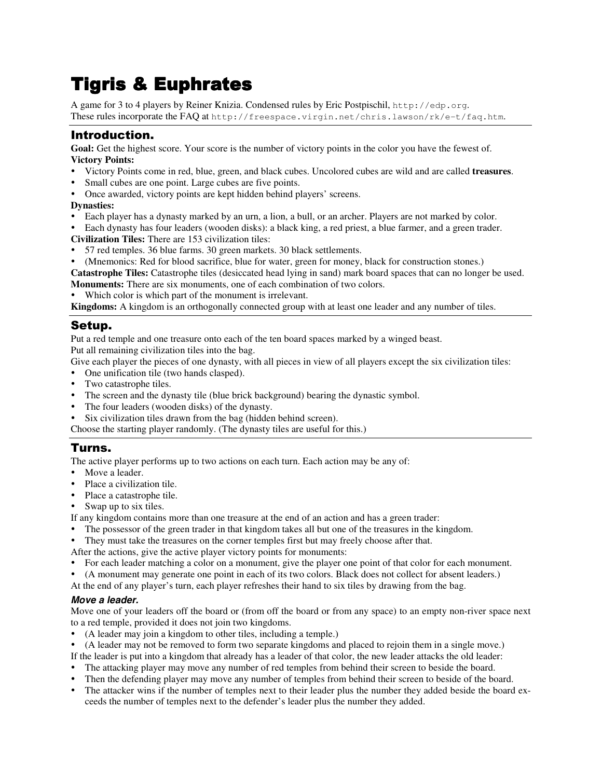# **Tigris & Euphrates**

A game for 3 to 4 players by Reiner Knizia. Condensed rules by Eric Postpischil, http://edp.org. These rules incorporate the FAQ at http://freespace.virgin.net/chris.lawson/rk/e-t/faq.htm.

# Introduction.

**Goal:** Get the highest score. Your score is the number of victory points in the color you have the fewest of. **Victory Points:**

- Victory Points come in red, blue, green, and black cubes. Uncolored cubes are wild and are called **treasures**.
- Small cubes are one point. Large cubes are five points.
- Once awarded, victory points are kept hidden behind players' screens.

### **Dynasties:**

- Each player has a dynasty marked by an urn, a lion, a bull, or an archer. Players are not marked by color.
- Each dynasty has four leaders (wooden disks): a black king, a red priest, a blue farmer, and a green trader.
- **Civilization Tiles:** There are 153 civilization tiles:
- 57 red temples. 36 blue farms. 30 green markets. 30 black settlements.
- (Mnemonics: Red for blood sacrifice, blue for water, green for money, black for construction stones.)

**Catastrophe Tiles:** Catastrophe tiles (desiccated head lying in sand) mark board spaces that can no longer be used. **Monuments:** There are six monuments, one of each combination of two colors.

Which color is which part of the monument is irrelevant.

**Kingdoms:** A kingdom is an orthogonally connected group with at least one leader and any number of tiles.

## Setup.

Put a red temple and one treasure onto each of the ten board spaces marked by a winged beast. Put all remaining civilization tiles into the bag.

Give each player the pieces of one dynasty, with all pieces in view of all players except the six civilization tiles:

- One unification tile (two hands clasped).
- Two catastrophe tiles.
- The screen and the dynasty tile (blue brick background) bearing the dynastic symbol.
- The four leaders (wooden disks) of the dynasty.
- Six civilization tiles drawn from the bag (hidden behind screen).

Choose the starting player randomly. (The dynasty tiles are useful for this.)

# Turns.

The active player performs up to two actions on each turn. Each action may be any of:

- Move a leader.
- Place a civilization tile.
- Place a catastrophe tile.
- Swap up to six tiles.

If any kingdom contains more than one treasure at the end of an action and has a green trader:

- The possessor of the green trader in that kingdom takes all but one of the treasures in the kingdom.
- They must take the treasures on the corner temples first but may freely choose after that.
- After the actions, give the active player victory points for monuments:
- For each leader matching a color on a monument, give the player one point of that color for each monument.
- (A monument may generate one point in each of its two colors. Black does not collect for absent leaders.)
- At the end of any player's turn, each player refreshes their hand to six tiles by drawing from the bag.

### *Move a leader.*

Move one of your leaders off the board or (from off the board or from any space) to an empty non-river space next to a red temple, provided it does not join two kingdoms.

- (A leader may join a kingdom to other tiles, including a temple.)
- (A leader may not be removed to form two separate kingdoms and placed to rejoin them in a single move.)
- If the leader is put into a kingdom that already has a leader of that color, the new leader attacks the old leader:
- The attacking player may move any number of red temples from behind their screen to beside the board.
- Then the defending player may move any number of temples from behind their screen to beside of the board.
- The attacker wins if the number of temples next to their leader plus the number they added beside the board exceeds the number of temples next to the defender's leader plus the number they added.